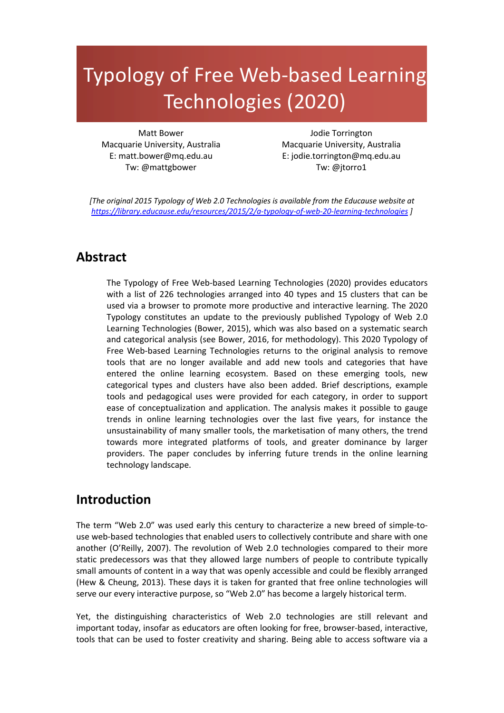# Typology of Free Web-based Learning Technologies (2020)

Matt Bower Macquarie University, Australia E: matt.bower@mq.edu.au Tw: @mattgbower

Jodie Torrington Macquarie University, Australia E: jodie.torrington@mq.edu.au Tw: @jtorro1

*[The original 2015 Typology of Web 2.0 Technologies is available from the Educause website at https://library.educause.edu/resources/2015/2/a-typology-of-web-20-learning-technologies ]*

# **Abstract**

The Typology of Free Web-based Learning Technologies (2020) provides educators with a list of 226 technologies arranged into 40 types and 15 clusters that can be used via a browser to promote more productive and interactive learning. The 2020 Typology constitutes an update to the previously published Typology of Web 2.0 Learning Technologies (Bower, 2015), which was also based on a systematic search and categorical analysis (see Bower, 2016, for methodology). This 2020 Typology of Free Web-based Learning Technologies returns to the original analysis to remove tools that are no longer available and add new tools and categories that have entered the online learning ecosystem. Based on these emerging tools, new categorical types and clusters have also been added. Brief descriptions, example tools and pedagogical uses were provided for each category, in order to support ease of conceptualization and application. The analysis makes it possible to gauge trends in online learning technologies over the last five years, for instance the unsustainability of many smaller tools, the marketisation of many others, the trend towards more integrated platforms of tools, and greater dominance by larger providers. The paper concludes by inferring future trends in the online learning technology landscape.

# **Introduction**

The term "Web 2.0" was used early this century to characterize a new breed of simple-touse web-based technologies that enabled users to collectively contribute and share with one another (O'Reilly, 2007). The revolution of Web 2.0 technologies compared to their more static predecessors was that they allowed large numbers of people to contribute typically small amounts of content in a way that was openly accessible and could be flexibly arranged (Hew & Cheung, 2013). These days it is taken for granted that free online technologies will serve our every interactive purpose, so "Web 2.0" has become a largely historical term.

Yet, the distinguishing characteristics of Web 2.0 technologies are still relevant and important today, insofar as educators are often looking for free, browser-based, interactive, tools that can be used to foster creativity and sharing. Being able to access software via a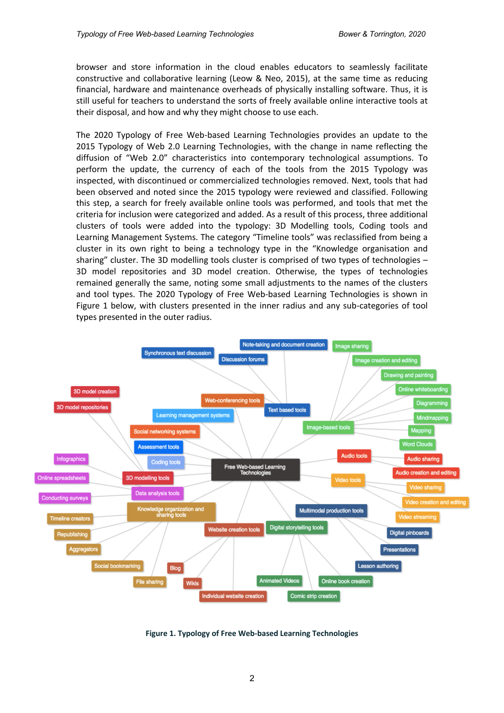browser and store information in the cloud enables educators to seamlessly facilitate constructive and collaborative learning (Leow & Neo, 2015), at the same time as reducing financial, hardware and maintenance overheads of physically installing software. Thus, it is still useful for teachers to understand the sorts of freely available online interactive tools at their disposal, and how and why they might choose to use each.

The 2020 Typology of Free Web-based Learning Technologies provides an update to the 2015 Typology of Web 2.0 Learning Technologies, with the change in name reflecting the diffusion of "Web 2.0" characteristics into contemporary technological assumptions. To perform the update, the currency of each of the tools from the 2015 Typology was inspected, with discontinued or commercialized technologies removed. Next, tools that had been observed and noted since the 2015 typology were reviewed and classified. Following this step, a search for freely available online tools was performed, and tools that met the criteria for inclusion were categorized and added. As a result of this process, three additional clusters of tools were added into the typology: 3D Modelling tools, Coding tools and Learning Management Systems. The category "Timeline tools" was reclassified from being a cluster in its own right to being a technology type in the "Knowledge organisation and sharing" cluster. The 3D modelling tools cluster is comprised of two types of technologies -3D model repositories and 3D model creation. Otherwise, the types of technologies remained generally the same, noting some small adjustments to the names of the clusters and tool types. The 2020 Typology of Free Web-based Learning Technologies is shown in Figure 1 below, with clusters presented in the inner radius and any sub-categories of tool types presented in the outer radius.



**Figure 1. Typology of Free Web-based Learning Technologies**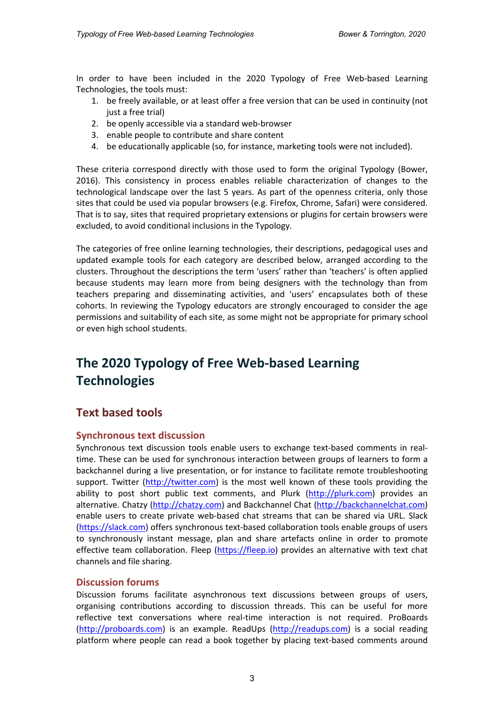In order to have been included in the 2020 Typology of Free Web-based Learning Technologies, the tools must:

- 1. be freely available, or at least offer a free version that can be used in continuity (not just a free trial)
- 2. be openly accessible via a standard web-browser
- 3. enable people to contribute and share content
- 4. be educationally applicable (so, for instance, marketing tools were not included).

These criteria correspond directly with those used to form the original Typology (Bower, 2016). This consistency in process enables reliable characterization of changes to the technological landscape over the last 5 years. As part of the openness criteria, only those sites that could be used via popular browsers (e.g. Firefox, Chrome, Safari) were considered. That is to say, sites that required proprietary extensions or plugins for certain browsers were excluded, to avoid conditional inclusions in the Typology.

The categories of free online learning technologies, their descriptions, pedagogical uses and updated example tools for each category are described below, arranged according to the clusters. Throughout the descriptions the term 'users' rather than 'teachers' is often applied because students may learn more from being designers with the technology than from teachers preparing and disseminating activities, and 'users' encapsulates both of these cohorts. In reviewing the Typology educators are strongly encouraged to consider the age permissions and suitability of each site, as some might not be appropriate for primary school or even high school students.

# **The 2020 Typology of Free Web-based Learning Technologies**

# **Text based tools**

#### **Synchronous text discussion**

Synchronous text discussion tools enable users to exchange text-based comments in realtime. These can be used for synchronous interaction between groups of learners to form a backchannel during a live presentation, or for instance to facilitate remote troubleshooting support. Twitter (http://twitter.com) is the most well known of these tools providing the ability to post short public text comments, and Plurk (http://plurk.com) provides an alternative. Chatzy (http://chatzy.com) and Backchannel Chat (http://backchannelchat.com) enable users to create private web-based chat streams that can be shared via URL. Slack (https://slack.com) offers synchronous text-based collaboration tools enable groups of users to synchronously instant message, plan and share artefacts online in order to promote effective team collaboration. Fleep (https://fleep.io) provides an alternative with text chat channels and file sharing.

#### **Discussion forums**

Discussion forums facilitate asynchronous text discussions between groups of users, organising contributions according to discussion threads. This can be useful for more reflective text conversations where real-time interaction is not required. ProBoards (http://proboards.com) is an example. ReadUps (http://readups.com) is a social reading platform where people can read a book together by placing text-based comments around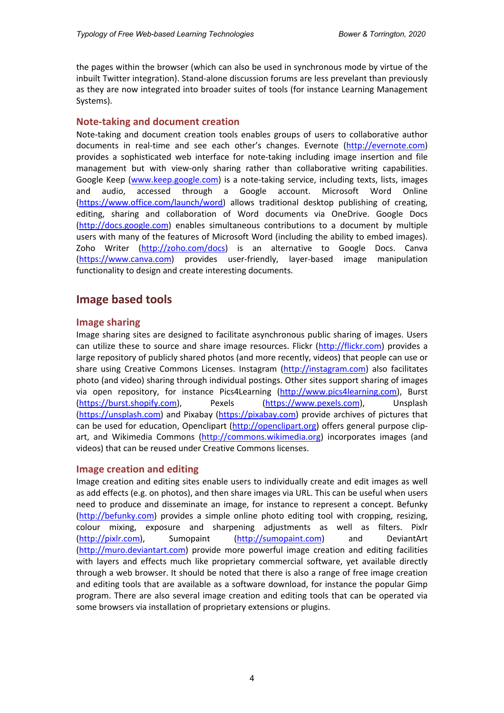the pages within the browser (which can also be used in synchronous mode by virtue of the inbuilt Twitter integration). Stand-alone discussion forums are less prevelant than previously as they are now integrated into broader suites of tools (for instance Learning Management Systems).

#### **Note-taking and document creation**

Note-taking and document creation tools enables groups of users to collaborative author documents in real-time and see each other's changes. Evernote (http://evernote.com) provides a sophisticated web interface for note-taking including image insertion and file management but with view-only sharing rather than collaborative writing capabilities. Google Keep (www.keep.google.com) is a note-taking service, including texts, lists, images and audio, accessed through a Google account. Microsoft Word Online (https://www.office.com/launch/word) allows traditional desktop publishing of creating, editing, sharing and collaboration of Word documents via OneDrive. Google Docs (http://docs.google.com) enables simultaneous contributions to a document by multiple users with many of the features of Microsoft Word (including the ability to embed images). Zoho Writer (http://zoho.com/docs) is an alternative to Google Docs. Canva (https://www.canva.com) provides user-friendly, layer-based image manipulation functionality to design and create interesting documents.

### **Image based tools**

#### **Image sharing**

Image sharing sites are designed to facilitate asynchronous public sharing of images. Users can utilize these to source and share image resources. Flickr (http://flickr.com) provides a large repository of publicly shared photos (and more recently, videos) that people can use or share using Creative Commons Licenses. Instagram (http://instagram.com) also facilitates photo (and video) sharing through individual postings. Other sites support sharing of images via open repository, for instance Pics4Learning (http://www.pics4learning.com), Burst (https://burst.shopify.com), Pexels (https://www.pexels.com), Unsplash (https://unsplash.com) and Pixabay (https://pixabay.com) provide archives of pictures that can be used for education, Openclipart (http://openclipart.org) offers general purpose clipart, and Wikimedia Commons (http://commons.wikimedia.org) incorporates images (and videos) that can be reused under Creative Commons licenses.

#### **Image creation and editing**

Image creation and editing sites enable users to individually create and edit images as well as add effects (e.g. on photos), and then share images via URL. This can be useful when users need to produce and disseminate an image, for instance to represent a concept. Befunky (http://befunky.com) provides a simple online photo editing tool with cropping, resizing, colour mixing, exposure and sharpening adjustments as well as filters. Pixlr (http://pixlr.com), Sumopaint (http://sumopaint.com) and DeviantArt (http://muro.deviantart.com) provide more powerful image creation and editing facilities with layers and effects much like proprietary commercial software, yet available directly through a web browser. It should be noted that there is also a range of free image creation and editing tools that are available as a software download, for instance the popular Gimp program. There are also several image creation and editing tools that can be operated via some browsers via installation of proprietary extensions or plugins.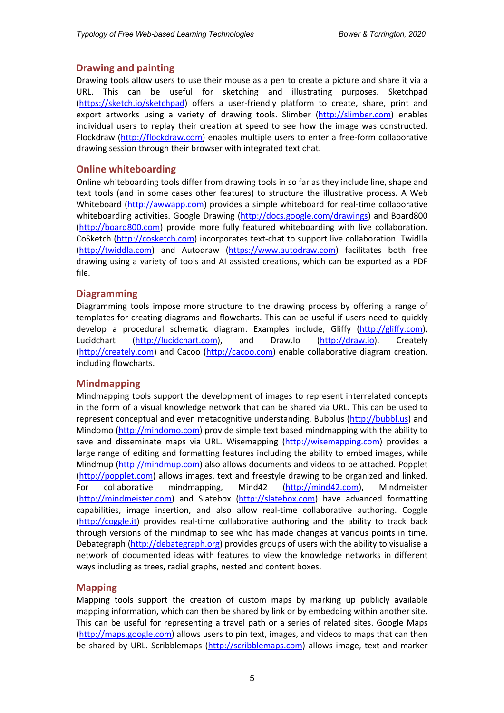#### **Drawing and painting**

Drawing tools allow users to use their mouse as a pen to create a picture and share it via a URL. This can be useful for sketching and illustrating purposes. Sketchpad (https://sketch.io/sketchpad) offers a user-friendly platform to create, share, print and export artworks using a variety of drawing tools. Slimber (http://slimber.com) enables individual users to replay their creation at speed to see how the image was constructed. Flockdraw (http://flockdraw.com) enables multiple users to enter a free-form collaborative drawing session through their browser with integrated text chat.

#### **Online whiteboarding**

Online whiteboarding tools differ from drawing tools in so far as they include line, shape and text tools (and in some cases other features) to structure the illustrative process. A Web Whiteboard (http://awwapp.com) provides a simple whiteboard for real-time collaborative whiteboarding activities. Google Drawing (http://docs.google.com/drawings) and Board800 (http://board800.com) provide more fully featured whiteboarding with live collaboration. CoSketch (http://cosketch.com) incorporates text-chat to support live collaboration. Twidlla (http://twiddla.com) and Autodraw (https://www.autodraw.com) facilitates both free drawing using a variety of tools and AI assisted creations, which can be exported as a PDF file.

#### **Diagramming**

Diagramming tools impose more structure to the drawing process by offering a range of templates for creating diagrams and flowcharts. This can be useful if users need to quickly develop a procedural schematic diagram. Examples include, Gliffy (http://gliffy.com), Lucidchart (http://lucidchart.com), and Draw.Io (http://draw.io). Creately (http://creately.com) and Cacoo (http://cacoo.com) enable collaborative diagram creation, including flowcharts.

#### **Mindmapping**

Mindmapping tools support the development of images to represent interrelated concepts in the form of a visual knowledge network that can be shared via URL. This can be used to represent conceptual and even metacognitive understanding. Bubblus (http://bubbl.us) and Mindomo (http://mindomo.com) provide simple text based mindmapping with the ability to save and disseminate maps via URL. Wisemapping (http://wisemapping.com) provides a large range of editing and formatting features including the ability to embed images, while Mindmup (http://mindmup.com) also allows documents and videos to be attached. Popplet (http://popplet.com) allows images, text and freestyle drawing to be organized and linked. For collaborative mindmapping, Mind42 (http://mind42.com), Mindmeister (http://mindmeister.com) and Slatebox (http://slatebox.com) have advanced formatting capabilities, image insertion, and also allow real-time collaborative authoring. Coggle (http://coggle.it) provides real-time collaborative authoring and the ability to track back through versions of the mindmap to see who has made changes at various points in time. Debategraph (http://debategraph.org) provides groups of users with the ability to visualise a network of documented ideas with features to view the knowledge networks in different ways including as trees, radial graphs, nested and content boxes.

#### **Mapping**

Mapping tools support the creation of custom maps by marking up publicly available mapping information, which can then be shared by link or by embedding within another site. This can be useful for representing a travel path or a series of related sites. Google Maps (http://maps.google.com) allows users to pin text, images, and videos to maps that can then be shared by URL. Scribblemaps (http://scribblemaps.com) allows image, text and marker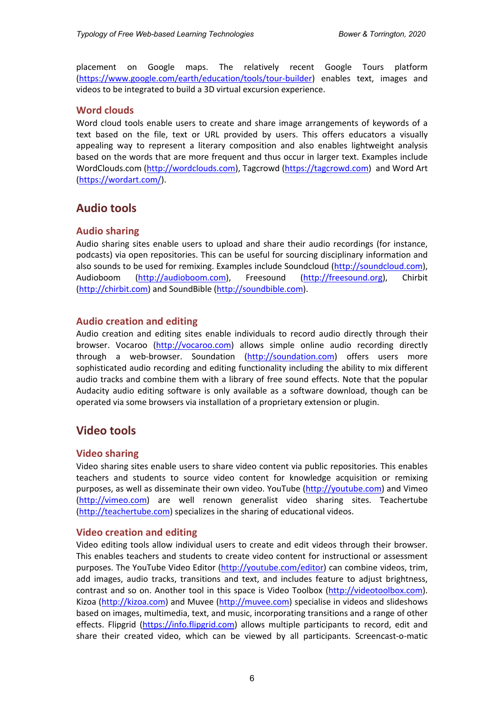placement on Google maps. The relatively recent Google Tours platform (https://www.google.com/earth/education/tools/tour-builder) enables text, images and videos to be integrated to build a 3D virtual excursion experience.

#### **Word clouds**

Word cloud tools enable users to create and share image arrangements of keywords of a text based on the file, text or URL provided by users. This offers educators a visually appealing way to represent a literary composition and also enables lightweight analysis based on the words that are more frequent and thus occur in larger text. Examples include WordClouds.com (http://wordclouds.com), Tagcrowd (https://tagcrowd.com) and Word Art (https://wordart.com/).

# **Audio tools**

#### **Audio sharing**

Audio sharing sites enable users to upload and share their audio recordings (for instance, podcasts) via open repositories. This can be useful for sourcing disciplinary information and also sounds to be used for remixing. Examples include Soundcloud (http://soundcloud.com), Audioboom (http://audioboom.com), Freesound (http://freesound.org), Chirbit (http://chirbit.com) and SoundBible (http://soundbible.com).

#### **Audio creation and editing**

Audio creation and editing sites enable individuals to record audio directly through their browser. Vocaroo (http://vocaroo.com) allows simple online audio recording directly through a web-browser. Soundation (http://soundation.com) offers users more sophisticated audio recording and editing functionality including the ability to mix different audio tracks and combine them with a library of free sound effects. Note that the popular Audacity audio editing software is only available as a software download, though can be operated via some browsers via installation of a proprietary extension or plugin.

## **Video tools**

#### **Video sharing**

Video sharing sites enable users to share video content via public repositories. This enables teachers and students to source video content for knowledge acquisition or remixing purposes, as well as disseminate their own video. YouTube (http://youtube.com) and Vimeo (http://vimeo.com) are well renown generalist video sharing sites. Teachertube (http://teachertube.com) specializes in the sharing of educational videos.

#### **Video creation and editing**

Video editing tools allow individual users to create and edit videos through their browser. This enables teachers and students to create video content for instructional or assessment purposes. The YouTube Video Editor (http://youtube.com/editor) can combine videos, trim, add images, audio tracks, transitions and text, and includes feature to adjust brightness, contrast and so on. Another tool in this space is Video Toolbox (http://videotoolbox.com). Kizoa (http://kizoa.com) and Muvee (http://muvee.com) specialise in videos and slideshows based on images, multimedia, text, and music, incorporating transitions and a range of other effects. Flipgrid (https://info.flipgrid.com) allows multiple participants to record, edit and share their created video, which can be viewed by all participants. Screencast-o-matic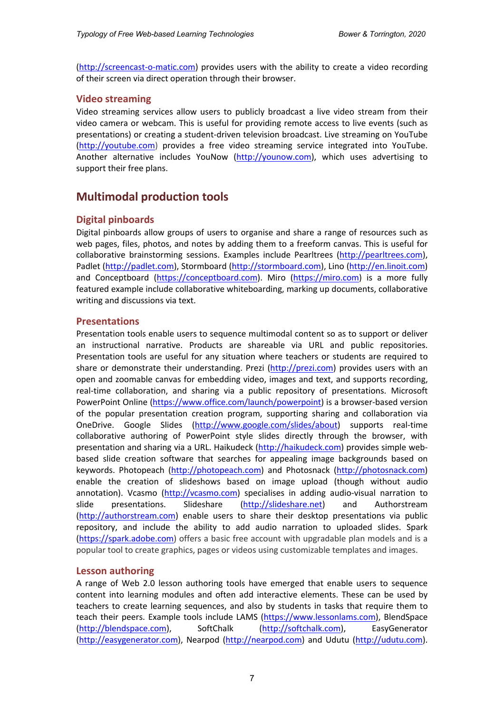(http://screencast-o-matic.com) provides users with the ability to create a video recording of their screen via direct operation through their browser.

#### **Video streaming**

Video streaming services allow users to publicly broadcast a live video stream from their video camera or webcam. This is useful for providing remote access to live events (such as presentations) or creating a student-driven television broadcast. Live streaming on YouTube (http://youtube.com) provides a free video streaming service integrated into YouTube. Another alternative includes YouNow (http://younow.com), which uses advertising to support their free plans.

# **Multimodal production tools**

#### **Digital pinboards**

Digital pinboards allow groups of users to organise and share a range of resources such as web pages, files, photos, and notes by adding them to a freeform canvas. This is useful for collaborative brainstorming sessions. Examples include Pearltrees (http://pearltrees.com), Padlet (http://padlet.com), Stormboard (http://stormboard.com), Lino (http://en.linoit.com) and Conceptboard (https://conceptboard.com). Miro (https://miro.com) is a more fully featured example include collaborative whiteboarding, marking up documents, collaborative writing and discussions via text.

#### **Presentations**

Presentation tools enable users to sequence multimodal content so as to support or deliver an instructional narrative. Products are shareable via URL and public repositories. Presentation tools are useful for any situation where teachers or students are required to share or demonstrate their understanding. Prezi (http://prezi.com) provides users with an open and zoomable canvas for embedding video, images and text, and supports recording, real-time collaboration, and sharing via a public repository of presentations. Microsoft PowerPoint Online (https://www.office.com/launch/powerpoint) is a browser-based version of the popular presentation creation program, supporting sharing and collaboration via OneDrive. Google Slides (http://www.google.com/slides/about) supports real-time collaborative authoring of PowerPoint style slides directly through the browser, with presentation and sharing via a URL. Haikudeck (http://haikudeck.com) provides simple webbased slide creation software that searches for appealing image backgrounds based on keywords. Photopeach (http://photopeach.com) and Photosnack (http://photosnack.com) enable the creation of slideshows based on image upload (though without audio annotation). Vcasmo (http://vcasmo.com) specialises in adding audio-visual narration to slide presentations. Slideshare (http://slideshare.net) and Authorstream (http://authorstream.com) enable users to share their desktop presentations via public repository, and include the ability to add audio narration to uploaded slides. Spark (https://spark.adobe.com) offers a basic free account with upgradable plan models and is a popular tool to create graphics, pages or videos using customizable templates and images.

#### **Lesson authoring**

A range of Web 2.0 lesson authoring tools have emerged that enable users to sequence content into learning modules and often add interactive elements. These can be used by teachers to create learning sequences, and also by students in tasks that require them to teach their peers. Example tools include LAMS (https://www.lessonlams.com), BlendSpace (http://blendspace.com), SoftChalk (http://softchalk.com), EasyGenerator (http://easygenerator.com), Nearpod (http://nearpod.com) and Udutu (http://udutu.com).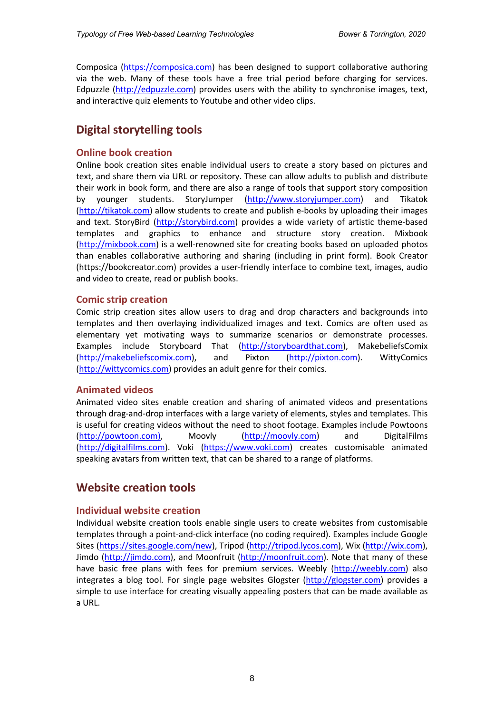Composica (https://composica.com) has been designed to support collaborative authoring via the web. Many of these tools have a free trial period before charging for services. Edpuzzle (http://edpuzzle.com) provides users with the ability to synchronise images, text, and interactive quiz elements to Youtube and other video clips.

# **Digital storytelling tools**

#### **Online book creation**

Online book creation sites enable individual users to create a story based on pictures and text, and share them via URL or repository. These can allow adults to publish and distribute their work in book form, and there are also a range of tools that support story composition by younger students. StoryJumper (http://www.storyjumper.com) and Tikatok (http://tikatok.com) allow students to create and publish e-books by uploading their images and text. StoryBird (http://storybird.com) provides a wide variety of artistic theme-based templates and graphics to enhance and structure story creation. Mixbook (http://mixbook.com) is a well-renowned site for creating books based on uploaded photos than enables collaborative authoring and sharing (including in print form). Book Creator (https://bookcreator.com) provides a user-friendly interface to combine text, images, audio and video to create, read or publish books.

#### **Comic strip creation**

Comic strip creation sites allow users to drag and drop characters and backgrounds into templates and then overlaying individualized images and text. Comics are often used as elementary yet motivating ways to summarize scenarios or demonstrate processes. Examples include Storyboard That (http://storyboardthat.com), MakebeliefsComix (http://makebeliefscomix.com), and Pixton (http://pixton.com). WittyComics (http://wittycomics.com) provides an adult genre for their comics.

#### **Animated videos**

Animated video sites enable creation and sharing of animated videos and presentations through drag-and-drop interfaces with a large variety of elements, styles and templates. This is useful for creating videos without the need to shoot footage. Examples include Powtoons (http://powtoon.com), Moovly (http://moovly.com) and DigitalFilms (http://digitalfilms.com). Voki (https://www.voki.com) creates customisable animated speaking avatars from written text, that can be shared to a range of platforms.

## **Website creation tools**

#### **Individual website creation**

Individual website creation tools enable single users to create websites from customisable templates through a point-and-click interface (no coding required). Examples include Google Sites (https://sites.google.com/new), Tripod (http://tripod.lycos.com), Wix (http://wix.com), Jimdo (http://jimdo.com), and Moonfruit (http://moonfruit.com). Note that many of these have basic free plans with fees for premium services. Weebly (http://weebly.com) also integrates a blog tool. For single page websites Glogster (http://glogster.com) provides a simple to use interface for creating visually appealing posters that can be made available as a URL.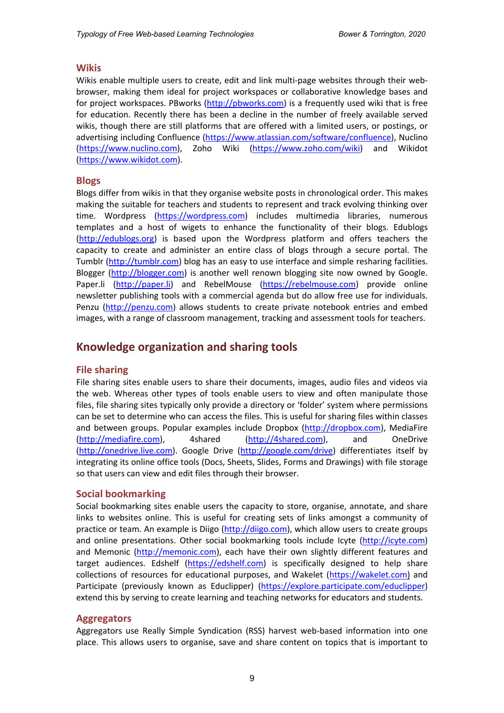#### **Wikis**

Wikis enable multiple users to create, edit and link multi-page websites through their webbrowser, making them ideal for project workspaces or collaborative knowledge bases and for project workspaces. PBworks (http://pbworks.com) is a frequently used wiki that is free for education. Recently there has been a decline in the number of freely available served wikis, though there are still platforms that are offered with a limited users, or postings, or advertising including Confluence (https://www.atlassian.com/software/confluence), Nuclino (https://www.nuclino.com), Zoho Wiki (https://www.zoho.com/wiki) and Wikidot (https://www.wikidot.com).

#### **Blogs**

Blogs differ from wikis in that they organise website posts in chronological order. This makes making the suitable for teachers and students to represent and track evolving thinking over time. Wordpress (https://wordpress.com) includes multimedia libraries, numerous templates and a host of wigets to enhance the functionality of their blogs. Edublogs (http://edublogs.org) is based upon the Wordpress platform and offers teachers the capacity to create and administer an entire class of blogs through a secure portal. The Tumblr (http://tumblr.com) blog has an easy to use interface and simple resharing facilities. Blogger (http://blogger.com) is another well renown blogging site now owned by Google. Paper.li (http://paper.li) and RebelMouse (https://rebelmouse.com) provide online newsletter publishing tools with a commercial agenda but do allow free use for individuals. Penzu (http://penzu.com) allows students to create private notebook entries and embed images, with a range of classroom management, tracking and assessment tools for teachers.

### **Knowledge organization and sharing tools**

#### **File sharing**

File sharing sites enable users to share their documents, images, audio files and videos via the web. Whereas other types of tools enable users to view and often manipulate those files, file sharing sites typically only provide a directory or 'folder' system where permissions can be set to determine who can access the files. This is useful for sharing files within classes and between groups. Popular examples include Dropbox (http://dropbox.com), MediaFire (http://mediafire.com), 4shared (http://4shared.com), and OneDrive (http://onedrive.live.com). Google Drive (http://google.com/drive) differentiates itself by integrating its online office tools (Docs, Sheets, Slides, Forms and Drawings) with file storage so that users can view and edit files through their browser.

#### **Social bookmarking**

Social bookmarking sites enable users the capacity to store, organise, annotate, and share links to websites online. This is useful for creating sets of links amongst a community of practice or team. An example is Diigo (http://diigo.com), which allow users to create groups and online presentations. Other social bookmarking tools include Icyte (http://icyte.com) and Memonic (http://memonic.com), each have their own slightly different features and target audiences. Edshelf (https://edshelf.com) is specifically designed to help share collections of resources for educational purposes, and Wakelet (https://wakelet.com) and Participate (previously known as Educlipper) (https://explore.participate.com/educlipper) extend this by serving to create learning and teaching networks for educators and students.

#### **Aggregators**

Aggregators use Really Simple Syndication (RSS) harvest web-based information into one place. This allows users to organise, save and share content on topics that is important to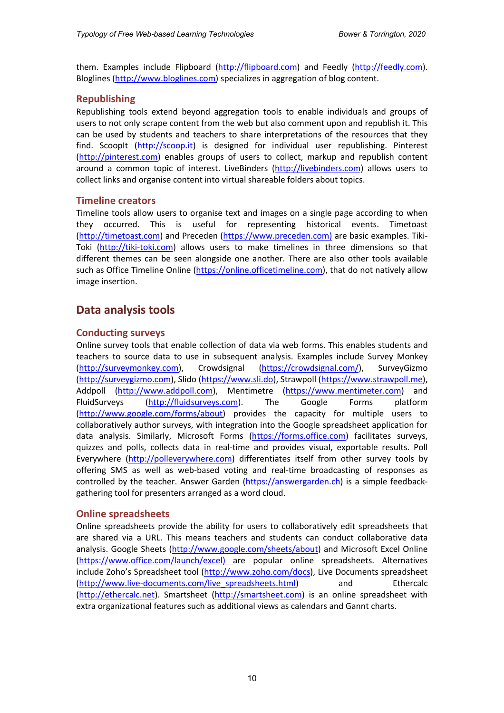them. Examples include Flipboard (http://flipboard.com) and Feedly (http://feedly.com). Bloglines (http://www.bloglines.com) specializes in aggregation of blog content.

#### **Republishing**

Republishing tools extend beyond aggregation tools to enable individuals and groups of users to not only scrape content from the web but also comment upon and republish it. This can be used by students and teachers to share interpretations of the resources that they find. ScoopIt (http://scoop.it) is designed for individual user republishing. Pinterest (http://pinterest.com) enables groups of users to collect, markup and republish content around a common topic of interest. LiveBinders (http://livebinders.com) allows users to collect links and organise content into virtual shareable folders about topics.

#### **Timeline creators**

Timeline tools allow users to organise text and images on a single page according to when they occurred. This is useful for representing historical events. Timetoast (http://timetoast.com) and Preceden (https://www.preceden.com) are basic examples. Tiki-Toki (http://tiki-toki.com) allows users to make timelines in three dimensions so that different themes can be seen alongside one another. There are also other tools available such as Office Timeline Online (https://online.officetimeline.com), that do not natively allow image insertion.

# **Data analysis tools**

#### **Conducting surveys**

Online survey tools that enable collection of data via web forms. This enables students and teachers to source data to use in subsequent analysis. Examples include Survey Monkey (http://surveymonkey.com), Crowdsignal (https://crowdsignal.com/), SurveyGizmo (http://surveygizmo.com), Slido (https://www.sli.do), Strawpoll (https://www.strawpoll.me), Addpoll (http://www.addpoll.com), Mentimetre (https://www.mentimeter.com) and FluidSurveys (http://fluidsurveys.com). The Google Forms platform (http://www.google.com/forms/about) provides the capacity for multiple users to collaboratively author surveys, with integration into the Google spreadsheet application for data analysis. Similarly, Microsoft Forms (https://forms.office.com) facilitates surveys, quizzes and polls, collects data in real-time and provides visual, exportable results. Poll Everywhere (http://polleverywhere.com) differentiates itself from other survey tools by offering SMS as well as web-based voting and real-time broadcasting of responses as controlled by the teacher. Answer Garden (https://answergarden.ch) is a simple feedbackgathering tool for presenters arranged as a word cloud.

#### **Online spreadsheets**

Online spreadsheets provide the ability for users to collaboratively edit spreadsheets that are shared via a URL. This means teachers and students can conduct collaborative data analysis. Google Sheets (http://www.google.com/sheets/about) and Microsoft Excel Online (https://www.office.com/launch/excel) are popular online spreadsheets. Alternatives include Zoho's Spreadsheet tool (http://www.zoho.com/docs), Live Documents spreadsheet (http://www.live-documents.com/live\_spreadsheets.html) and Ethercalc (http://ethercalc.net). Smartsheet (http://smartsheet.com) is an online spreadsheet with extra organizational features such as additional views as calendars and Gannt charts.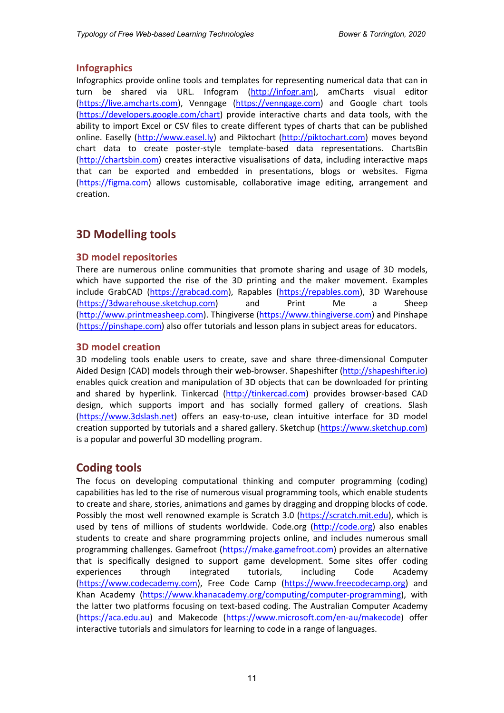#### **Infographics**

Infographics provide online tools and templates for representing numerical data that can in turn be shared via URL. Infogram (http://infogr.am), amCharts visual editor (https://live.amcharts.com), Venngage (https://venngage.com) and Google chart tools (https://developers.google.com/chart) provide interactive charts and data tools, with the ability to import Excel or CSV files to create different types of charts that can be published online. Easelly (http://www.easel.ly) and Piktochart (http://piktochart.com) moves beyond chart data to create poster-style template-based data representations. ChartsBin (http://chartsbin.com) creates interactive visualisations of data, including interactive maps that can be exported and embedded in presentations, blogs or websites. Figma (https://figma.com) allows customisable, collaborative image editing, arrangement and creation.

# **3D Modelling tools**

#### **3D model repositories**

There are numerous online communities that promote sharing and usage of 3D models, which have supported the rise of the 3D printing and the maker movement. Examples include GrabCAD (https://grabcad.com), Rapables (https://repables.com), 3D Warehouse (https://3dwarehouse.sketchup.com) and Print Me a Sheep (http://www.printmeasheep.com). Thingiverse (https://www.thingiverse.com) and Pinshape (https://pinshape.com) also offer tutorials and lesson plans in subject areas for educators.

#### **3D model creation**

3D modeling tools enable users to create, save and share three-dimensional Computer Aided Design (CAD) models through their web-browser. Shapeshifter (http://shapeshifter.io) enables quick creation and manipulation of 3D objects that can be downloaded for printing and shared by hyperlink. Tinkercad (http://tinkercad.com) provides browser-based CAD design, which supports import and has socially formed gallery of creations. Slash (https://www.3dslash.net) offers an easy-to-use, clean intuitive interface for 3D model creation supported by tutorials and a shared gallery. Sketchup (https://www.sketchup.com) is a popular and powerful 3D modelling program.

## **Coding tools**

The focus on developing computational thinking and computer programming (coding) capabilities has led to the rise of numerous visual programming tools, which enable students to create and share, stories, animations and games by dragging and dropping blocks of code. Possibly the most well renowned example is Scratch 3.0 (https://scratch.mit.edu), which is used by tens of millions of students worldwide. Code.org (http://code.org) also enables students to create and share programming projects online, and includes numerous small programming challenges. Gamefroot (https://make.gamefroot.com) provides an alternative that is specifically designed to support game development. Some sites offer coding experiences through integrated tutorials, including Code Academy (https://www.codecademy.com), Free Code Camp (https://www.freecodecamp.org) and Khan Academy (https://www.khanacademy.org/computing/computer-programming), with the latter two platforms focusing on text-based coding. The Australian Computer Academy (https://aca.edu.au) and Makecode (https://www.microsoft.com/en-au/makecode) offer interactive tutorials and simulators for learning to code in a range of languages.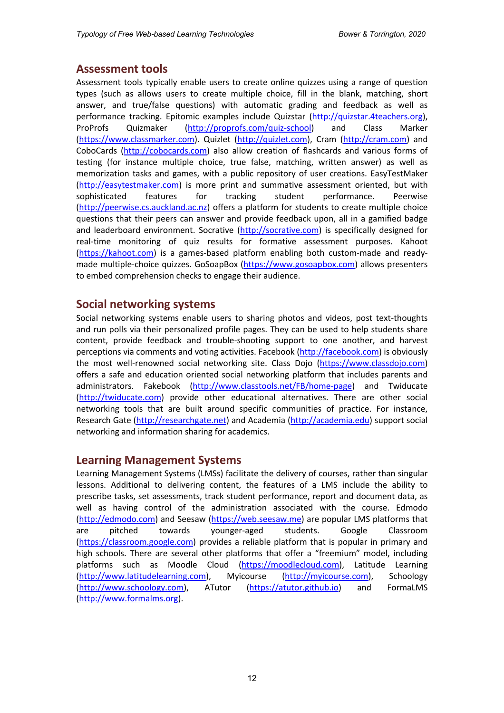#### **Assessment tools**

Assessment tools typically enable users to create online quizzes using a range of question types (such as allows users to create multiple choice, fill in the blank, matching, short answer, and true/false questions) with automatic grading and feedback as well as performance tracking. Epitomic examples include Quizstar (http://quizstar.4teachers.org), ProProfs Quizmaker (http://proprofs.com/quiz-school) and Class Marker (https://www.classmarker.com). Quizlet (http://quizlet.com), Cram (http://cram.com) and CoboCards (http://cobocards.com) also allow creation of flashcards and various forms of testing (for instance multiple choice, true false, matching, written answer) as well as memorization tasks and games, with a public repository of user creations. EasyTestMaker (http://easytestmaker.com) is more print and summative assessment oriented, but with sophisticated features for tracking student performance. Peerwise (http://peerwise.cs.auckland.ac.nz) offers a platform for students to create multiple choice questions that their peers can answer and provide feedback upon, all in a gamified badge and leaderboard environment. Socrative (http://socrative.com) is specifically designed for real-time monitoring of quiz results for formative assessment purposes. Kahoot (https://kahoot.com) is a games-based platform enabling both custom-made and readymade multiple-choice quizzes. GoSoapBox (https://www.gosoapbox.com) allows presenters to embed comprehension checks to engage their audience.

#### **Social networking systems**

Social networking systems enable users to sharing photos and videos, post text-thoughts and run polls via their personalized profile pages. They can be used to help students share content, provide feedback and trouble-shooting support to one another, and harvest perceptions via comments and voting activities. Facebook (http://facebook.com) is obviously the most well-renowned social networking site. Class Dojo (https://www.classdojo.com) offers a safe and education oriented social networking platform that includes parents and administrators. Fakebook (http://www.classtools.net/FB/home-page) and Twiducate (http://twiducate.com) provide other educational alternatives. There are other social networking tools that are built around specific communities of practice. For instance, Research Gate (http://researchgate.net) and Academia (http://academia.edu) support social networking and information sharing for academics.

#### **Learning Management Systems**

Learning Management Systems (LMSs) facilitate the delivery of courses, rather than singular lessons. Additional to delivering content, the features of a LMS include the ability to prescribe tasks, set assessments, track student performance, report and document data, as well as having control of the administration associated with the course. Edmodo (http://edmodo.com) and Seesaw (https://web.seesaw.me) are popular LMS platforms that are pitched towards younger-aged students. Google Classroom (https://classroom.google.com) provides a reliable platform that is popular in primary and high schools. There are several other platforms that offer a "freemium" model, including platforms such as Moodle Cloud (https://moodlecloud.com), Latitude Learning (http://www.latitudelearning.com), Myicourse (http://myicourse.com), Schoology (http://www.schoology.com), ATutor (https://atutor.github.io) and FormaLMS (http://www.formalms.org).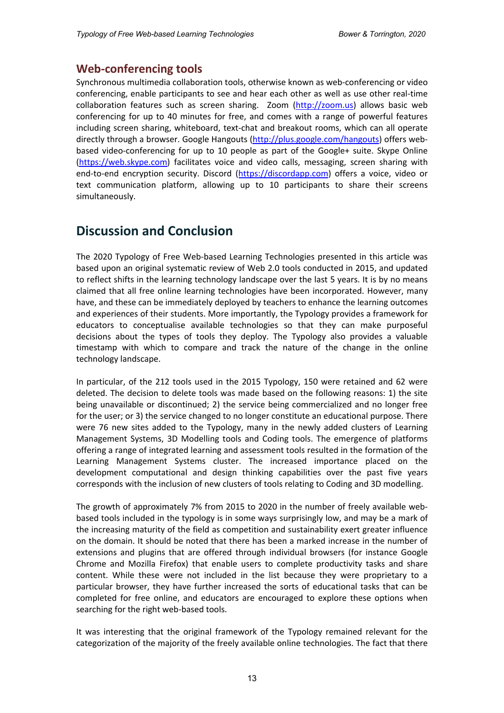### **Web-conferencing tools**

Synchronous multimedia collaboration tools, otherwise known as web-conferencing or video conferencing, enable participants to see and hear each other as well as use other real-time collaboration features such as screen sharing. Zoom (http://zoom.us) allows basic web conferencing for up to 40 minutes for free, and comes with a range of powerful features including screen sharing, whiteboard, text-chat and breakout rooms, which can all operate directly through a browser. Google Hangouts (http://plus.google.com/hangouts) offers webbased video-conferencing for up to 10 people as part of the Google+ suite. Skype Online (https://web.skype.com) facilitates voice and video calls, messaging, screen sharing with end-to-end encryption security. Discord (https://discordapp.com) offers a voice, video or text communication platform, allowing up to 10 participants to share their screens simultaneously.

# **Discussion and Conclusion**

The 2020 Typology of Free Web-based Learning Technologies presented in this article was based upon an original systematic review of Web 2.0 tools conducted in 2015, and updated to reflect shifts in the learning technology landscape over the last 5 years. It is by no means claimed that all free online learning technologies have been incorporated. However, many have, and these can be immediately deployed by teachers to enhance the learning outcomes and experiences of their students. More importantly, the Typology provides a framework for educators to conceptualise available technologies so that they can make purposeful decisions about the types of tools they deploy. The Typology also provides a valuable timestamp with which to compare and track the nature of the change in the online technology landscape.

In particular, of the 212 tools used in the 2015 Typology, 150 were retained and 62 were deleted. The decision to delete tools was made based on the following reasons: 1) the site being unavailable or discontinued; 2) the service being commercialized and no longer free for the user; or 3) the service changed to no longer constitute an educational purpose. There were 76 new sites added to the Typology, many in the newly added clusters of Learning Management Systems, 3D Modelling tools and Coding tools. The emergence of platforms offering a range of integrated learning and assessment tools resulted in the formation of the Learning Management Systems cluster. The increased importance placed on the development computational and design thinking capabilities over the past five years corresponds with the inclusion of new clusters of tools relating to Coding and 3D modelling.

The growth of approximately 7% from 2015 to 2020 in the number of freely available webbased tools included in the typology is in some ways surprisingly low, and may be a mark of the increasing maturity of the field as competition and sustainability exert greater influence on the domain. It should be noted that there has been a marked increase in the number of extensions and plugins that are offered through individual browsers (for instance Google Chrome and Mozilla Firefox) that enable users to complete productivity tasks and share content. While these were not included in the list because they were proprietary to a particular browser, they have further increased the sorts of educational tasks that can be completed for free online, and educators are encouraged to explore these options when searching for the right web-based tools.

It was interesting that the original framework of the Typology remained relevant for the categorization of the majority of the freely available online technologies. The fact that there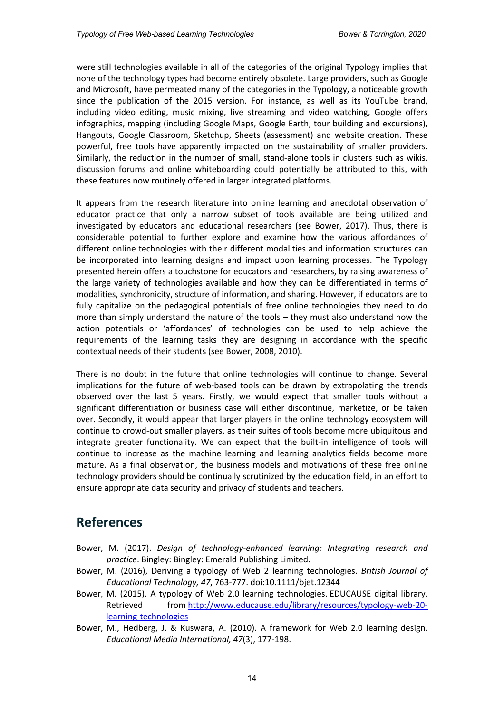were still technologies available in all of the categories of the original Typology implies that none of the technology types had become entirely obsolete. Large providers, such as Google and Microsoft, have permeated many of the categories in the Typology, a noticeable growth since the publication of the 2015 version. For instance, as well as its YouTube brand, including video editing, music mixing, live streaming and video watching, Google offers infographics, mapping (including Google Maps, Google Earth, tour building and excursions), Hangouts, Google Classroom, Sketchup, Sheets (assessment) and website creation. These powerful, free tools have apparently impacted on the sustainability of smaller providers. Similarly, the reduction in the number of small, stand-alone tools in clusters such as wikis, discussion forums and online whiteboarding could potentially be attributed to this, with these features now routinely offered in larger integrated platforms.

It appears from the research literature into online learning and anecdotal observation of educator practice that only a narrow subset of tools available are being utilized and investigated by educators and educational researchers (see Bower, 2017). Thus, there is considerable potential to further explore and examine how the various affordances of different online technologies with their different modalities and information structures can be incorporated into learning designs and impact upon learning processes. The Typology presented herein offers a touchstone for educators and researchers, by raising awareness of the large variety of technologies available and how they can be differentiated in terms of modalities, synchronicity, structure of information, and sharing. However, if educators are to fully capitalize on the pedagogical potentials of free online technologies they need to do more than simply understand the nature of the tools – they must also understand how the action potentials or 'affordances' of technologies can be used to help achieve the requirements of the learning tasks they are designing in accordance with the specific contextual needs of their students (see Bower, 2008, 2010).

There is no doubt in the future that online technologies will continue to change. Several implications for the future of web-based tools can be drawn by extrapolating the trends observed over the last 5 years. Firstly, we would expect that smaller tools without a significant differentiation or business case will either discontinue, marketize, or be taken over. Secondly, it would appear that larger players in the online technology ecosystem will continue to crowd-out smaller players, as their suites of tools become more ubiquitous and integrate greater functionality. We can expect that the built-in intelligence of tools will continue to increase as the machine learning and learning analytics fields become more mature. As a final observation, the business models and motivations of these free online technology providers should be continually scrutinized by the education field, in an effort to ensure appropriate data security and privacy of students and teachers.

# **References**

- Bower, M. (2017). *Design of technology-enhanced learning: Integrating research and practice*. Bingley: Bingley: Emerald Publishing Limited.
- Bower, M. (2016), Deriving a typology of Web 2 learning technologies. *British Journal of Educational Technology, 47*, 763-777. doi:10.1111/bjet.12344
- Bower, M. (2015). A typology of Web 2.0 learning technologies. EDUCAUSE digital library. Retrieved from http://www.educause.edu/library/resources/typology-web-20 learning-technologies
- Bower, M., Hedberg, J. & Kuswara, A. (2010). A framework for Web 2.0 learning design. *Educational Media International, 47*(3), 177-198.